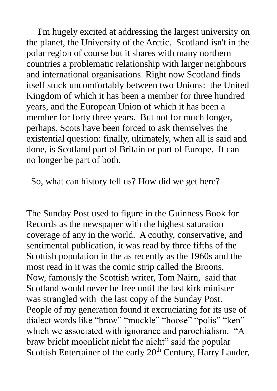I'm hugely excited at addressing the largest university on the planet, the University of the Arctic. Scotland isn't in the polar region of course but it shares with many northern countries a problematic relationship with larger neighbours and international organisations. Right now Scotland finds itself stuck uncomfortably between two Unions: the United Kingdom of which it has been a member for three hundred years, and the European Union of which it has been a member for forty three years. But not for much longer, perhaps. Scots have been forced to ask themselves the existential question: finally, ultimately, when all is said and done, is Scotland part of Britain or part of Europe. It can no longer be part of both.

So, what can history tell us? How did we get here?

The Sunday Post used to figure in the Guinness Book for Records as the newspaper with the highest saturation coverage of any in the world. A couthy, conservative, and sentimental publication, it was read by three fifths of the Scottish population in the as recently as the 1960s and the most read in it was the comic strip called the Broons. Now, famously the Scottish writer, Tom Nairn, said that Scotland would never be free until the last kirk minister was strangled with the last copy of the Sunday Post. People of my generation found it excruciating for its use of dialect words like "braw" "muckle" "hoose" "polis" "ken" which we associated with ignorance and parochialism. "A braw bricht moonlicht nicht the nicht" said the popular Scottish Entertainer of the early 20<sup>th</sup> Century, Harry Lauder,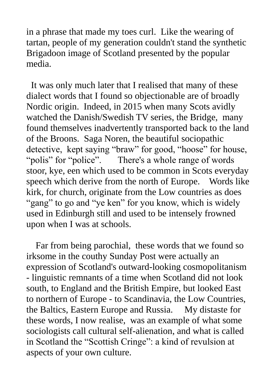in a phrase that made my toes curl. Like the wearing of tartan, people of my generation couldn't stand the synthetic Brigadoon image of Scotland presented by the popular media.

 It was only much later that I realised that many of these dialect words that I found so objectionable are of broadly Nordic origin. Indeed, in 2015 when many Scots avidly watched the Danish/Swedish TV series, the Bridge, many found themselves inadvertently transported back to the land of the Broons. Saga Noren, the beautiful sociopathic detective, kept saying "braw" for good, "hoose" for house, "polis" for "police". There's a whole range of words stoor, kye, een which used to be common in Scots everyday speech which derive from the north of Europe. Words like kirk, for church, originate from the Low countries as does "gang" to go and "ye ken" for you know, which is widely used in Edinburgh still and used to be intensely frowned upon when I was at schools.

 Far from being parochial, these words that we found so irksome in the couthy Sunday Post were actually an expression of Scotland's outward-looking cosmopolitanism - linguistic remnants of a time when Scotland did not look south, to England and the British Empire, but looked East to northern of Europe - to Scandinavia, the Low Countries, the Baltics, Eastern Europe and Russia. My distaste for these words, I now realise, was an example of what some sociologists call cultural self-alienation, and what is called in Scotland the "Scottish Cringe": a kind of revulsion at aspects of your own culture.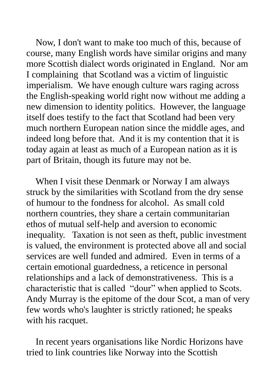Now, I don't want to make too much of this, because of course, many English words have similar origins and many more Scottish dialect words originated in England. Nor am I complaining that Scotland was a victim of linguistic imperialism. We have enough culture wars raging across the English-speaking world right now without me adding a new dimension to identity politics. However, the language itself does testify to the fact that Scotland had been very much northern European nation since the middle ages, and indeed long before that. And it is my contention that it is today again at least as much of a European nation as it is part of Britain, though its future may not be.

 When I visit these Denmark or Norway I am always struck by the similarities with Scotland from the dry sense of humour to the fondness for alcohol. As small cold northern countries, they share a certain communitarian ethos of mutual self-help and aversion to economic inequality. Taxation is not seen as theft, public investment is valued, the environment is protected above all and social services are well funded and admired. Even in terms of a certain emotional guardedness, a reticence in personal relationships and a lack of demonstrativeness. This is a characteristic that is called "dour" when applied to Scots. Andy Murray is the epitome of the dour Scot, a man of very few words who's laughter is strictly rationed; he speaks with his racquet.

 In recent years organisations like Nordic Horizons have tried to link countries like Norway into the Scottish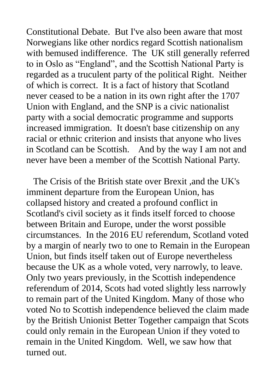Constitutional Debate. But I've also been aware that most Norwegians like other nordics regard Scottish nationalism with bemused indifference. The UK still generally referred to in Oslo as "England", and the Scottish National Party is regarded as a truculent party of the political Right. Neither of which is correct. It is a fact of history that Scotland never ceased to be a nation in its own right after the 1707 Union with England, and the SNP is a civic nationalist party with a social democratic programme and supports increased immigration. It doesn't base citizenship on any racial or ethnic criterion and insists that anyone who lives in Scotland can be Scottish. And by the way I am not and never have been a member of the Scottish National Party.

 The Crisis of the British state over Brexit ,and the UK's imminent departure from the European Union, has collapsed history and created a profound conflict in Scotland's civil society as it finds itself forced to choose between Britain and Europe, under the worst possible circumstances. In the 2016 EU referendum, Scotland voted by a margin of nearly two to one to Remain in the European Union, but finds itself taken out of Europe nevertheless because the UK as a whole voted, very narrowly, to leave. Only two years previously, in the Scottish independence referendum of 2014, Scots had voted slightly less narrowly to remain part of the United Kingdom. Many of those who voted No to Scottish independence believed the claim made by the British Unionist Better Together campaign that Scots could only remain in the European Union if they voted to remain in the United Kingdom. Well, we saw how that turned out.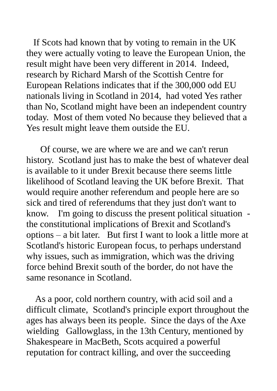If Scots had known that by voting to remain in the UK they were actually voting to leave the European Union, the result might have been very different in 2014. Indeed, research by Richard Marsh of the Scottish Centre for European Relations indicates that if the 300,000 odd EU nationals living in Scotland in 2014, had voted Yes rather than No, Scotland might have been an independent country today. Most of them voted No because they believed that a Yes result might leave them outside the EU.

 Of course, we are where we are and we can't rerun history. Scotland just has to make the best of whatever deal is available to it under Brexit because there seems little likelihood of Scotland leaving the UK before Brexit. That would require another referendum and people here are so sick and tired of referendums that they just don't want to know. I'm going to discuss the present political situation the constitutional implications of Brexit and Scotland's options – a bit later. But first I want to look a little more at Scotland's historic European focus, to perhaps understand why issues, such as immigration, which was the driving force behind Brexit south of the border, do not have the same resonance in Scotland.

 As a poor, cold northern country, with acid soil and a difficult climate, Scotland's principle export throughout the ages has always been its people. Since the days of the Axe wielding Gallowglass, in the 13th Century, mentioned by Shakespeare in MacBeth, Scots acquired a powerful reputation for contract killing, and over the succeeding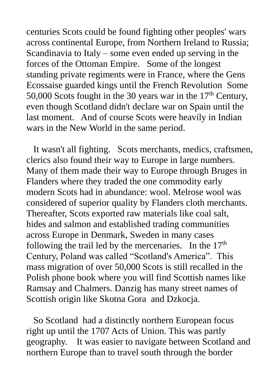centuries Scots could be found fighting other peoples' wars across continental Europe, from Northern Ireland to Russia; Scandinavia to Italy – some even ended up serving in the forces of the Ottoman Empire. Some of the longest standing private regiments were in France, where the Gens Ecossaise guarded kings until the French Revolution Some 50,000 Scots fought in the 30 years war in the  $17<sup>th</sup>$  Century, even though Scotland didn't declare war on Spain until the last moment. And of course Scots were heavily in Indian wars in the New World in the same period.

 It wasn't all fighting. Scots merchants, medics, craftsmen, clerics also found their way to Europe in large numbers. Many of them made their way to Europe through Bruges in Flanders where they traded the one commodity early modern Scots had in abundance: wool. Melrose wool was considered of superior quality by Flanders cloth merchants. Thereafter, Scots exported raw materials like coal salt, hides and salmon and established trading communities across Europe in Denmark, Sweden in many cases following the trail led by the mercenaries. In the  $17<sup>th</sup>$ Century, Poland was called "Scotland's America". This mass migration of over 50,000 Scots is still recalled in the Polish phone book where you will find Scottish names like Ramsay and Chalmers. Danzig has many street names of Scottish origin like Skotna Gora and Dzkocja.

 So Scotland had a distinctly northern European focus right up until the 1707 Acts of Union. This was partly geography. It was easier to navigate between Scotland and northern Europe than to travel south through the border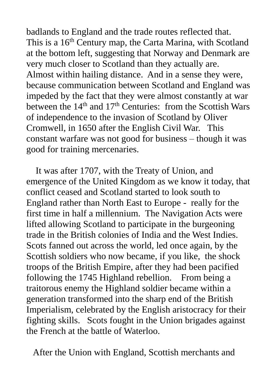badlands to England and the trade routes reflected that. This is a 16<sup>th</sup> Century map, the Carta Marina, with Scotland at the bottom left, suggesting that Norway and Denmark are very much closer to Scotland than they actually are. Almost within hailing distance. And in a sense they were, because communication between Scotland and England was impeded by the fact that they were almost constantly at war between the  $14<sup>th</sup>$  and  $17<sup>th</sup>$  Centuries: from the Scottish Wars of independence to the invasion of Scotland by Oliver Cromwell, in 1650 after the English Civil War. This constant warfare was not good for business – though it was good for training mercenaries.

 It was after 1707, with the Treaty of Union, and emergence of the United Kingdom as we know it today, that conflict ceased and Scotland started to look south to England rather than North East to Europe - really for the first time in half a millennium. The Navigation Acts were lifted allowing Scotland to participate in the burgeoning trade in the British colonies of India and the West Indies. Scots fanned out across the world, led once again, by the Scottish soldiers who now became, if you like, the shock troops of the British Empire, after they had been pacified following the 1745 Highland rebellion. From being a traitorous enemy the Highland soldier became within a generation transformed into the sharp end of the British Imperialism, celebrated by the English aristocracy for their fighting skills. Scots fought in the Union brigades against the French at the battle of Waterloo.

After the Union with England, Scottish merchants and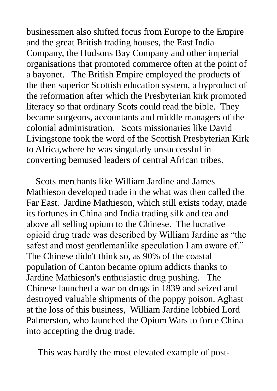businessmen also shifted focus from Europe to the Empire and the great British trading houses, the East India Company, the Hudsons Bay Company and other imperial organisations that promoted commerce often at the point of a bayonet. The British Empire employed the products of the then superior Scottish education system, a byproduct of the reformation after which the Presbyterian kirk promoted literacy so that ordinary Scots could read the bible. They became surgeons, accountants and middle managers of the colonial administration. Scots missionaries like David Livingstone took the word of the Scottish Presbyterian Kirk to Africa,where he was singularly unsuccessful in converting bemused leaders of central African tribes.

 Scots merchants like William Jardine and James Mathieson developed trade in the what was then called the Far East. Jardine Mathieson, which still exists today, made its fortunes in China and India trading silk and tea and above all selling opium to the Chinese. The lucrative opioid drug trade was described by William Jardine as "the safest and most gentlemanlike speculation I am aware of." The Chinese didn't think so, as 90% of the coastal population of Canton became opium addicts thanks to Jardine Mathieson's enthusiastic drug pushing. The Chinese launched a war on drugs in 1839 and seized and destroyed valuable shipments of the poppy poison. Aghast at the loss of this business, William Jardine lobbied Lord Palmerston, who launched the Opium Wars to force China into accepting the drug trade.

This was hardly the most elevated example of post-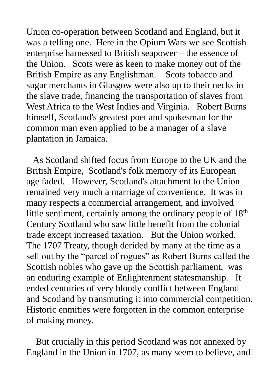Union co-operation between Scotland and England, but it was a telling one. Here in the Opium Wars we see Scottish enterprise harnessed to British seapower – the essence of the Union. Scots were as keen to make money out of the British Empire as any Englishman. Scots tobacco and sugar merchants in Glasgow were also up to their necks in the slave trade, financing the transportation of slaves from West Africa to the West Indies and Virginia. Robert Burns himself, Scotland's greatest poet and spokesman for the common man even applied to be a manager of a slave plantation in Jamaica.

 As Scotland shifted focus from Europe to the UK and the British Empire, Scotland's folk memory of its European age faded. However, Scotland's attachment to the Union remained very much a marriage of convenience. It was in many respects a commercial arrangement, and involved little sentiment, certainly among the ordinary people of 18<sup>th</sup> Century Scotland who saw little benefit from the colonial trade except increased taxation. But the Union worked. The 1707 Treaty, though derided by many at the time as a sell out by the "parcel of rogues" as Robert Burns called the Scottish nobles who gave up the Scottish parliament, was an enduring example of Enlightenment statesmanship. It ended centuries of very bloody conflict between England and Scotland by transmuting it into commercial competition. Historic enmities were forgotten in the common enterprise of making money.

 But crucially in this period Scotland was not annexed by England in the Union in 1707, as many seem to believe, and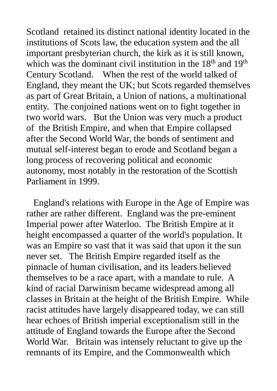Scotland retained its distinct national identity located in the institutions of Scots law, the education system and the all important presbyterian church, the kirk as it is still known, which was the dominant civil institution in the 18<sup>th</sup> and 19<sup>th</sup> Century Scotland. When the rest of the world talked of England, they meant the UK; but Scots regarded themselves as part of Great Britain, a Union of nations, a multinational entity. The conjoined nations went on to fight together in two world wars. But the Union was very much a product of the British Empire, and when that Empire collapsed after the Second World War, the bonds of sentiment and mutual self-interest began to erode and Scotland began a long process of recovering political and economic autonomy, most notably in the restoration of the Scottish Parliament in 1999.

 England's relations with Europe in the Age of Empire was rather are rather different. England was the pre-eminent Imperial power after Waterloo. The British Empire at it height encompassed a quarter of the world's population. It was an Empire so vast that it was said that upon it the sun never set. The British Empire regarded itself as the pinnacle of human civilisation, and its leaders believed themselves to be a race apart, with a mandate to rule. A kind of racial Darwinism became widespread among all classes in Britain at the height of the British Empire. While racist attitudes have largely disappeared today, we can still hear echoes of British imperial exceptionalism still in the attitude of England towards the Europe after the Second World War. Britain was intensely reluctant to give up the remnants of its Empire, and the Commonwealth which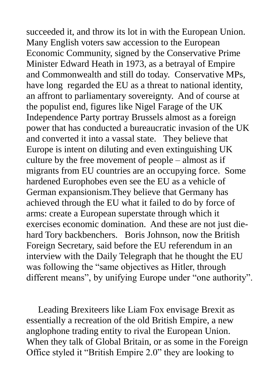succeeded it, and throw its lot in with the European Union. Many English voters saw accession to the European Economic Community, signed by the Conservative Prime Minister Edward Heath in 1973, as a betrayal of Empire and Commonwealth and still do today. Conservative MPs, have long regarded the EU as a threat to national identity, an affront to parliamentary sovereignty. And of course at the populist end, figures like Nigel Farage of the UK Independence Party portray Brussels almost as a foreign power that has conducted a bureaucratic invasion of the UK and converted it into a vassal state. They believe that Europe is intent on diluting and even extinguishing UK culture by the free movement of people – almost as if migrants from EU countries are an occupying force. Some hardened Europhobes even see the EU as a vehicle of German expansionism.They believe that Germany has achieved through the EU what it failed to do by force of arms: create a European superstate through which it exercises economic domination. And these are not just diehard Tory backbenchers. Boris Johnson, now the British Foreign Secretary, said before the EU referendum in an interview with the Daily Telegraph that he thought the EU was following the "same objectives as Hitler, through different means", by unifying Europe under "one authority".

 Leading Brexiteers like Liam Fox envisage Brexit as essentially a recreation of the old British Empire, a new anglophone trading entity to rival the European Union. When they talk of Global Britain, or as some in the Foreign Office styled it "British Empire 2.0" they are looking to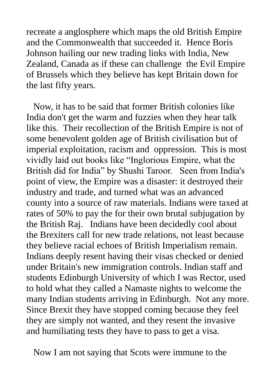recreate a anglosphere which maps the old British Empire and the Commonwealth that succeeded it. Hence Boris Johnson hailing our new trading links with India, New Zealand, Canada as if these can challenge the Evil Empire of Brussels which they believe has kept Britain down for the last fifty years.

 Now, it has to be said that former British colonies like India don't get the warm and fuzzies when they hear talk like this. Their recollection of the British Empire is not of some benevolent golden age of British civilisation but of imperial exploitation, racism and oppression. This is most vividly laid out books like "Inglorious Empire, what the British did for India" by Shushi Taroor. Seen from India's point of view, the Empire was a disaster: it destroyed their industry and trade, and turned what was an advanced county into a source of raw materials. Indians were taxed at rates of 50% to pay the for their own brutal subjugation by the British Raj. Indians have been decidedly cool about the Brexiters call for new trade relations, not least because they believe racial echoes of British Imperialism remain. Indians deeply resent having their visas checked or denied under Britain's new immigration controls. Indian staff and students Edinburgh University of which I was Rector, used to hold what they called a Namaste nights to welcome the many Indian students arriving in Edinburgh. Not any more. Since Brexit they have stopped coming because they feel they are simply not wanted, and they resent the invasive and humiliating tests they have to pass to get a visa.

Now I am not saying that Scots were immune to the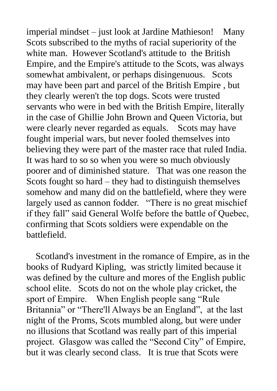imperial mindset – just look at Jardine Mathieson! Many Scots subscribed to the myths of racial superiority of the white man. However Scotland's attitude to the British Empire, and the Empire's attitude to the Scots, was always somewhat ambivalent, or perhaps disingenuous. Scots may have been part and parcel of the British Empire , but they clearly weren't the top dogs. Scots were trusted servants who were in bed with the British Empire, literally in the case of Ghillie John Brown and Queen Victoria, but were clearly never regarded as equals. Scots may have fought imperial wars, but never fooled themselves into believing they were part of the master race that ruled India. It was hard to so so when you were so much obviously poorer and of diminished stature. That was one reason the Scots fought so hard – they had to distinguish themselves somehow and many did on the battlefield, where they were largely used as cannon fodder. "There is no great mischief if they fall" said General Wolfe before the battle of Quebec, confirming that Scots soldiers were expendable on the battlefield.

 Scotland's investment in the romance of Empire, as in the books of Rudyard Kipling, was strictly limited because it was defined by the culture and mores of the English public school elite. Scots do not on the whole play cricket, the sport of Empire. When English people sang "Rule Britannia" or "There'll Always be an England", at the last night of the Proms, Scots mumbled along, but were under no illusions that Scotland was really part of this imperial project. Glasgow was called the "Second City" of Empire, but it was clearly second class. It is true that Scots were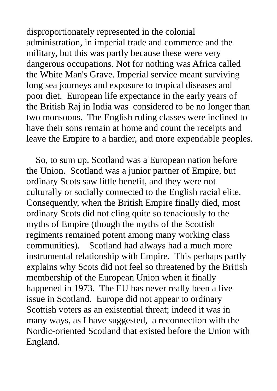disproportionately represented in the colonial administration, in imperial trade and commerce and the military, but this was partly because these were very dangerous occupations. Not for nothing was Africa called the White Man's Grave. Imperial service meant surviving long sea journeys and exposure to tropical diseases and poor diet. European life expectance in the early years of the British Raj in India was considered to be no longer than two monsoons. The English ruling classes were inclined to have their sons remain at home and count the receipts and leave the Empire to a hardier, and more expendable peoples.

 So, to sum up. Scotland was a European nation before the Union. Scotland was a junior partner of Empire, but ordinary Scots saw little benefit, and they were not culturally or socially connected to the English racial elite. Consequently, when the British Empire finally died, most ordinary Scots did not cling quite so tenaciously to the myths of Empire (though the myths of the Scottish regiments remained potent among many working class communities). Scotland had always had a much more instrumental relationship with Empire. This perhaps partly explains why Scots did not feel so threatened by the British membership of the European Union when it finally happened in 1973. The EU has never really been a live issue in Scotland. Europe did not appear to ordinary Scottish voters as an existential threat; indeed it was in many ways, as I have suggested, a reconnection with the Nordic-oriented Scotland that existed before the Union with England.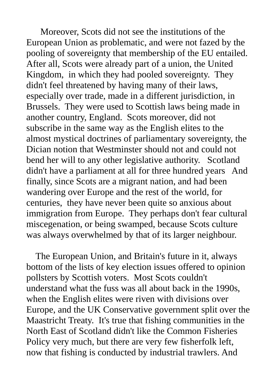Moreover, Scots did not see the institutions of the European Union as problematic, and were not fazed by the pooling of sovereignty that membership of the EU entailed. After all, Scots were already part of a union, the United Kingdom, in which they had pooled sovereignty. They didn't feel threatened by having many of their laws, especially over trade, made in a different jurisdiction, in Brussels. They were used to Scottish laws being made in another country, England. Scots moreover, did not subscribe in the same way as the English elites to the almost mystical doctrines of parliamentary sovereignty, the Dician notion that Westminster should not and could not bend her will to any other legislative authority. Scotland didn't have a parliament at all for three hundred years And finally, since Scots are a migrant nation, and had been wandering over Europe and the rest of the world, for centuries, they have never been quite so anxious about immigration from Europe. They perhaps don't fear cultural miscegenation, or being swamped, because Scots culture was always overwhelmed by that of its larger neighbour.

 The European Union, and Britain's future in it, always bottom of the lists of key election issues offered to opinion pollsters by Scottish voters. Most Scots couldn't understand what the fuss was all about back in the 1990s, when the English elites were riven with divisions over Europe, and the UK Conservative government split over the Maastricht Treaty. It's true that fishing communities in the North East of Scotland didn't like the Common Fisheries Policy very much, but there are very few fisherfolk left, now that fishing is conducted by industrial trawlers. And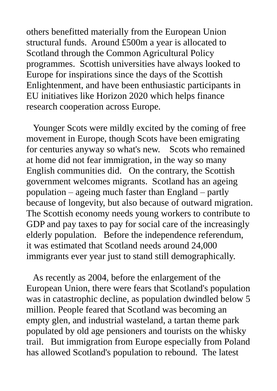others benefitted materially from the European Union structural funds. Around £500m a year is allocated to Scotland through the Common Agricultural Policy programmes. Scottish universities have always looked to Europe for inspirations since the days of the Scottish Enlightenment, and have been enthusiastic participants in EU initiatives like Horizon 2020 which helps finance research cooperation across Europe.

 Younger Scots were mildly excited by the coming of free movement in Europe, though Scots have been emigrating for centuries anyway so what's new. Scots who remained at home did not fear immigration, in the way so many English communities did. On the contrary, the Scottish government welcomes migrants. Scotland has an ageing population – ageing much faster than England – partly because of longevity, but also because of outward migration. The Scottish economy needs young workers to contribute to GDP and pay taxes to pay for social care of the increasingly elderly population. Before the independence referendum, it was estimated that Scotland needs around 24,000 immigrants ever year just to stand still demographically.

 As recently as 2004, before the enlargement of the European Union, there were fears that Scotland's population was in catastrophic decline, as population dwindled below 5 million. People feared that Scotland was becoming an empty glen, and industrial wasteland, a tartan theme park populated by old age pensioners and tourists on the whisky trail. But immigration from Europe especially from Poland has allowed Scotland's population to rebound. The latest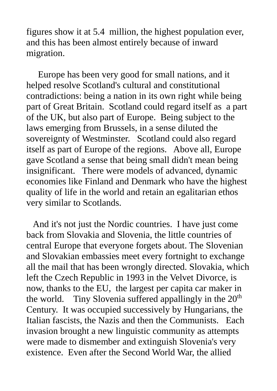figures show it at 5.4 million, the highest population ever, and this has been almost entirely because of inward migration.

 Europe has been very good for small nations, and it helped resolve Scotland's cultural and constitutional contradictions: being a nation in its own right while being part of Great Britain. Scotland could regard itself as a part of the UK, but also part of Europe. Being subject to the laws emerging from Brussels, in a sense diluted the sovereignty of Westminster. Scotland could also regard itself as part of Europe of the regions. Above all, Europe gave Scotland a sense that being small didn't mean being insignificant. There were models of advanced, dynamic economies like Finland and Denmark who have the highest quality of life in the world and retain an egalitarian ethos very similar to Scotlands.

 And it's not just the Nordic countries. I have just come back from Slovakia and Slovenia, the little countries of central Europe that everyone forgets about. The Slovenian and Slovakian embassies meet every fortnight to exchange all the mail that has been wrongly directed. Slovakia, which left the Czech Republic in 1993 in the Velvet Divorce, is now, thanks to the EU, the largest per capita car maker in the world. Tiny Slovenia suffered appallingly in the  $20<sup>th</sup>$ Century. It was occupied successively by Hungarians, the Italian fascists, the Nazis and then the Communists. Each invasion brought a new linguistic community as attempts were made to dismember and extinguish Slovenia's very existence. Even after the Second World War, the allied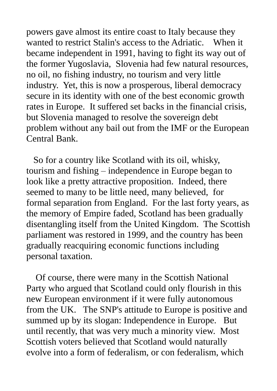powers gave almost its entire coast to Italy because they wanted to restrict Stalin's access to the Adriatic. When it became independent in 1991, having to fight its way out of the former Yugoslavia, Slovenia had few natural resources, no oil, no fishing industry, no tourism and very little industry. Yet, this is now a prosperous, liberal democracy secure in its identity with one of the best economic growth rates in Europe. It suffered set backs in the financial crisis, but Slovenia managed to resolve the sovereign debt problem without any bail out from the IMF or the European Central Bank.

 So for a country like Scotland with its oil, whisky, tourism and fishing – independence in Europe began to look like a pretty attractive proposition. Indeed, there seemed to many to be little need, many believed, for formal separation from England. For the last forty years, as the memory of Empire faded, Scotland has been gradually disentangling itself from the United Kingdom. The Scottish parliament was restored in 1999, and the country has been gradually reacquiring economic functions including personal taxation.

 Of course, there were many in the Scottish National Party who argued that Scotland could only flourish in this new European environment if it were fully autonomous from the UK. The SNP's attitude to Europe is positive and summed up by its slogan: Independence in Europe. But until recently, that was very much a minority view. Most Scottish voters believed that Scotland would naturally evolve into a form of federalism, or con federalism, which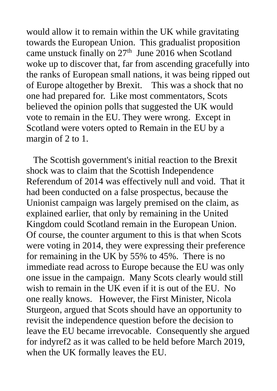would allow it to remain within the UK while gravitating towards the European Union. This gradualist proposition came unstuck finally on  $27<sup>th</sup>$  June 2016 when Scotland woke up to discover that, far from ascending gracefully into the ranks of European small nations, it was being ripped out of Europe altogether by Brexit. This was a shock that no one had prepared for. Like most commentators, Scots believed the opinion polls that suggested the UK would vote to remain in the EU. They were wrong. Except in Scotland were voters opted to Remain in the EU by a margin of 2 to 1.

 The Scottish government's initial reaction to the Brexit shock was to claim that the Scottish Independence Referendum of 2014 was effectively null and void. That it had been conducted on a false prospectus, because the Unionist campaign was largely premised on the claim, as explained earlier, that only by remaining in the United Kingdom could Scotland remain in the European Union. Of course, the counter argument to this is that when Scots were voting in 2014, they were expressing their preference for remaining in the UK by 55% to 45%. There is no immediate read across to Europe because the EU was only one issue in the campaign. Many Scots clearly would still wish to remain in the UK even if it is out of the EU. No one really knows. However, the First Minister, Nicola Sturgeon, argued that Scots should have an opportunity to revisit the independence question before the decision to leave the EU became irrevocable. Consequently she argued for indyref2 as it was called to be held before March 2019, when the UK formally leaves the EU.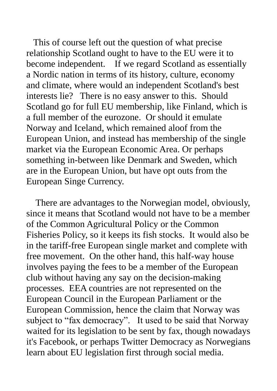This of course left out the question of what precise relationship Scotland ought to have to the EU were it to become independent. If we regard Scotland as essentially a Nordic nation in terms of its history, culture, economy and climate, where would an independent Scotland's best interests lie? There is no easy answer to this. Should Scotland go for full EU membership, like Finland, which is a full member of the eurozone. Or should it emulate Norway and Iceland, which remained aloof from the European Union, and instead has membership of the single market via the European Economic Area. Or perhaps something in-between like Denmark and Sweden, which are in the European Union, but have opt outs from the European Singe Currency.

 There are advantages to the Norwegian model, obviously, since it means that Scotland would not have to be a member of the Common Agricultural Policy or the Common Fisheries Policy, so it keeps its fish stocks. It would also be in the tariff-free European single market and complete with free movement. On the other hand, this half-way house involves paying the fees to be a member of the European club without having any say on the decision-making processes. EEA countries are not represented on the European Council in the European Parliament or the European Commission, hence the claim that Norway was subject to "fax democracy". It used to be said that Norway waited for its legislation to be sent by fax, though nowadays it's Facebook, or perhaps Twitter Democracy as Norwegians learn about EU legislation first through social media.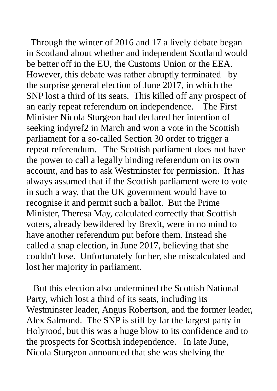Through the winter of 2016 and 17 a lively debate began in Scotland about whether and independent Scotland would be better off in the EU, the Customs Union or the EEA. However, this debate was rather abruptly terminated by the surprise general election of June 2017, in which the SNP lost a third of its seats. This killed off any prospect of an early repeat referendum on independence. The First Minister Nicola Sturgeon had declared her intention of seeking indyref2 in March and won a vote in the Scottish parliament for a so-called Section 30 order to trigger a repeat referendum. The Scottish parliament does not have the power to call a legally binding referendum on its own account, and has to ask Westminster for permission. It has always assumed that if the Scottish parliament were to vote in such a way, that the UK government would have to recognise it and permit such a ballot. But the Prime Minister, Theresa May, calculated correctly that Scottish voters, already bewildered by Brexit, were in no mind to have another referendum put before them. Instead she called a snap election, in June 2017, believing that she couldn't lose. Unfortunately for her, she miscalculated and lost her majority in parliament.

 But this election also undermined the Scottish National Party, which lost a third of its seats, including its Westminster leader, Angus Robertson, and the former leader, Alex Salmond. The SNP is still by far the largest party in Holyrood, but this was a huge blow to its confidence and to the prospects for Scottish independence. In late June, Nicola Sturgeon announced that she was shelving the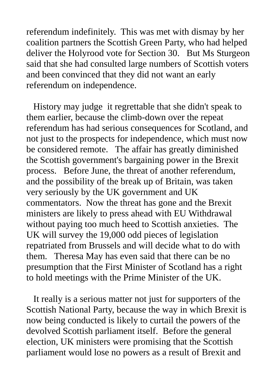referendum indefinitely. This was met with dismay by her coalition partners the Scottish Green Party, who had helped deliver the Holyrood vote for Section 30. But Ms Sturgeon said that she had consulted large numbers of Scottish voters and been convinced that they did not want an early referendum on independence.

 History may judge it regrettable that she didn't speak to them earlier, because the climb-down over the repeat referendum has had serious consequences for Scotland, and not just to the prospects for independence, which must now be considered remote. The affair has greatly diminished the Scottish government's bargaining power in the Brexit process. Before June, the threat of another referendum, and the possibility of the break up of Britain, was taken very seriously by the UK government and UK commentators. Now the threat has gone and the Brexit ministers are likely to press ahead with EU Withdrawal without paying too much heed to Scottish anxieties. The UK will survey the 19,000 odd pieces of legislation repatriated from Brussels and will decide what to do with them. Theresa May has even said that there can be no presumption that the First Minister of Scotland has a right to hold meetings with the Prime Minister of the UK.

 It really is a serious matter not just for supporters of the Scottish National Party, because the way in which Brexit is now being conducted is likely to curtail the powers of the devolved Scottish parliament itself. Before the general election, UK ministers were promising that the Scottish parliament would lose no powers as a result of Brexit and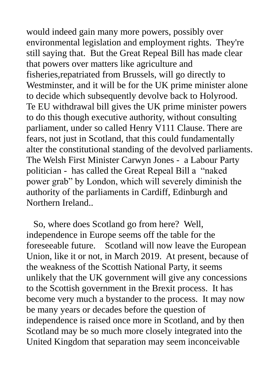would indeed gain many more powers, possibly over environmental legislation and employment rights. They're still saying that. But the Great Repeal Bill has made clear that powers over matters like agriculture and fisheries,repatriated from Brussels, will go directly to Westminster, and it will be for the UK prime minister alone to decide which subsequently devolve back to Holyrood. Te EU withdrawal bill gives the UK prime minister powers to do this though executive authority, without consulting parliament, under so called Henry V111 Clause. There are fears, not just in Scotland, that this could fundamentally alter the constitutional standing of the devolved parliaments. The Welsh First Minister Carwyn Jones - a Labour Party politician - has called the Great Repeal Bill a "naked power grab" by London, which will severely diminish the authority of the parliaments in Cardiff, Edinburgh and Northern Ireland..

 So, where does Scotland go from here? Well, independence in Europe seems off the table for the foreseeable future. Scotland will now leave the European Union, like it or not, in March 2019. At present, because of the weakness of the Scottish National Party, it seems unlikely that the UK government will give any concessions to the Scottish government in the Brexit process. It has become very much a bystander to the process. It may now be many years or decades before the question of independence is raised once more in Scotland, and by then Scotland may be so much more closely integrated into the United Kingdom that separation may seem inconceivable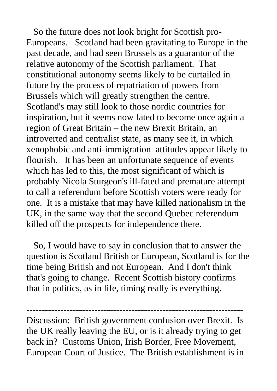So the future does not look bright for Scottish pro-Europeans. Scotland had been gravitating to Europe in the past decade, and had seen Brussels as a guarantor of the relative autonomy of the Scottish parliament. That constitutional autonomy seems likely to be curtailed in future by the process of repatriation of powers from Brussels which will greatly strengthen the centre. Scotland's may still look to those nordic countries for inspiration, but it seems now fated to become once again a region of Great Britain – the new Brexit Britain, an introverted and centralist state, as many see it, in which xenophobic and anti-immigration attitudes appear likely to flourish. It has been an unfortunate sequence of events which has led to this, the most significant of which is probably Nicola Sturgeon's ill-fated and premature attempt to call a referendum before Scottish voters were ready for one. It is a mistake that may have killed nationalism in the UK, in the same way that the second Quebec referendum killed off the prospects for independence there.

 So, I would have to say in conclusion that to answer the question is Scotland British or European, Scotland is for the time being British and not European. And I don't think that's going to change. Recent Scottish history confirms that in politics, as in life, timing really is everything.

Discussion: British government confusion over Brexit. Is the UK really leaving the EU, or is it already trying to get back in? Customs Union, Irish Border, Free Movement, European Court of Justice. The British establishment is in

----------------------------------------------------------------------